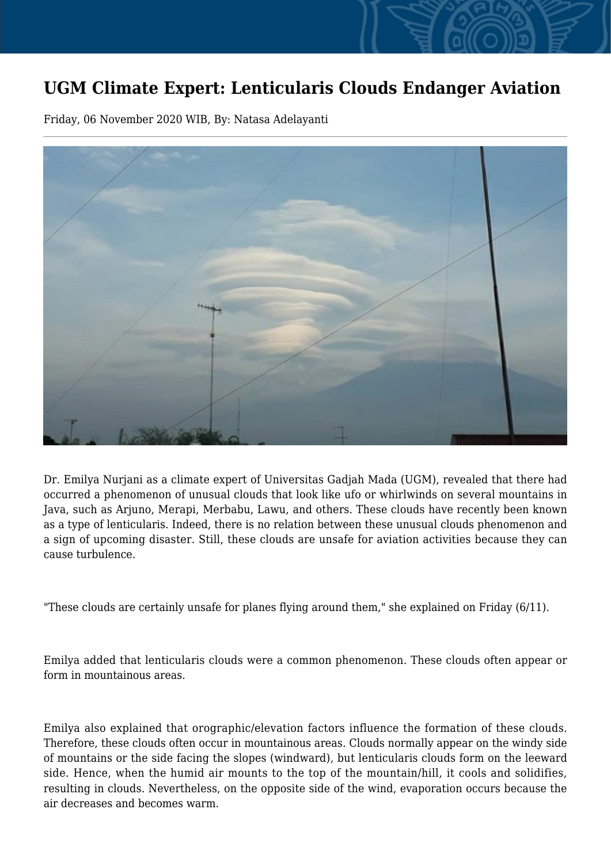## **UGM Climate Expert: Lenticularis Clouds Endanger Aviation**

Friday, 06 November 2020 WIB, By: Natasa Adelayanti



Dr. Emilya Nurjani as a climate expert of Universitas Gadjah Mada (UGM), revealed that there had occurred a phenomenon of unusual clouds that look like ufo or whirlwinds on several mountains in Java, such as Arjuno, Merapi, Merbabu, Lawu, and others. These clouds have recently been known as a type of lenticularis. Indeed, there is no relation between these unusual clouds phenomenon and a sign of upcoming disaster. Still, these clouds are unsafe for aviation activities because they can cause turbulence.

"These clouds are certainly unsafe for planes flying around them," she explained on Friday (6/11).

Emilya added that lenticularis clouds were a common phenomenon. These clouds often appear or form in mountainous areas.

Emilya also explained that orographic/elevation factors influence the formation of these clouds. Therefore, these clouds often occur in mountainous areas. Clouds normally appear on the windy side of mountains or the side facing the slopes (windward), but lenticularis clouds form on the leeward side. Hence, when the humid air mounts to the top of the mountain/hill, it cools and solidifies, resulting in clouds. Nevertheless, on the opposite side of the wind, evaporation occurs because the air decreases and becomes warm.